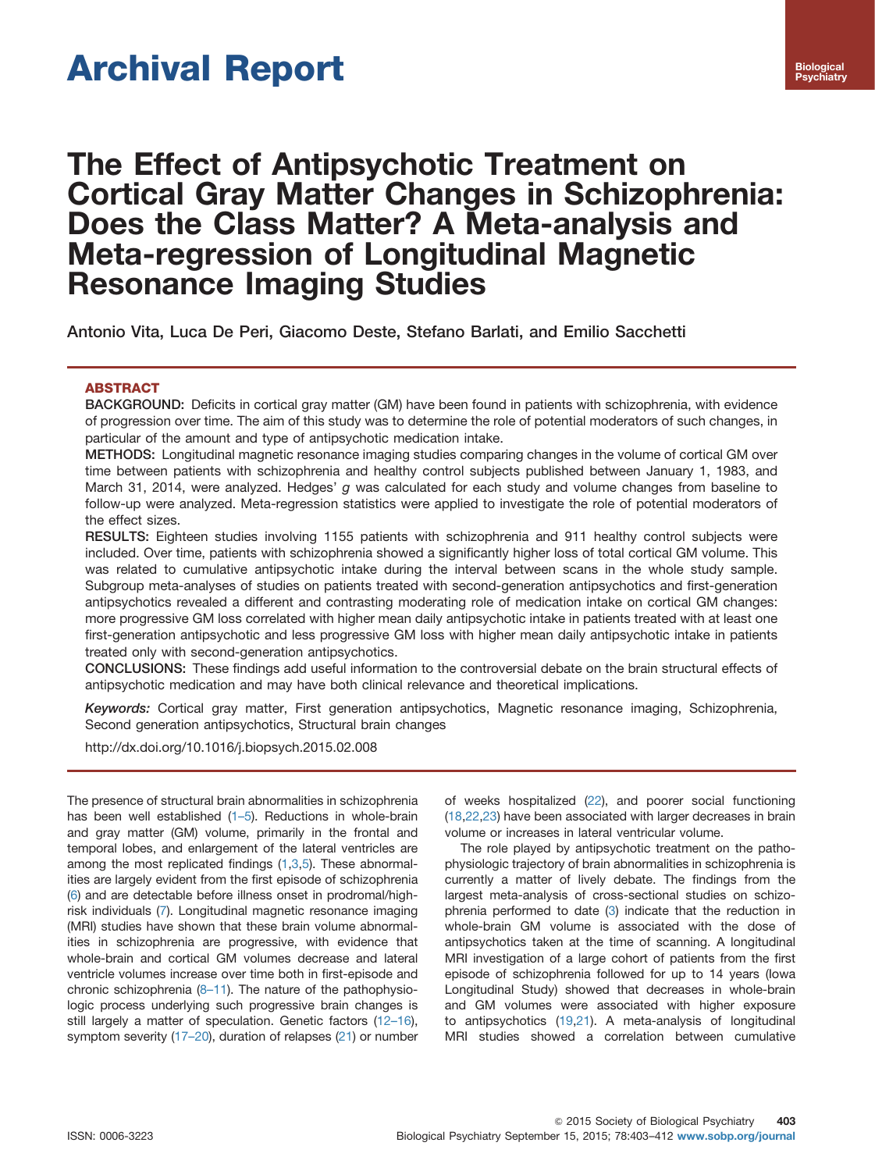# Archival Report

# The Effect of Antipsychotic Treatment on Cortical Gray Matter Changes in Schizophrenia: Does the Class Matter? A Meta-analysis and Meta-regression of Longitudinal Magnetic Resonance Imaging Studies

Antonio Vita, Luca De Peri, Giacomo Deste, Stefano Barlati, and Emilio Sacchetti

# ABSTRACT

BACKGROUND: Deficits in cortical gray matter (GM) have been found in patients with schizophrenia, with evidence of progression over time. The aim of this study was to determine the role of potential moderators of such changes, in particular of the amount and type of antipsychotic medication intake.

METHODS: Longitudinal magnetic resonance imaging studies comparing changes in the volume of cortical GM over time between patients with schizophrenia and healthy control subjects published between January 1, 1983, and March 31, 2014, were analyzed. Hedges' g was calculated for each study and volume changes from baseline to follow-up were analyzed. Meta-regression statistics were applied to investigate the role of potential moderators of the effect sizes.

RESULTS: Eighteen studies involving 1155 patients with schizophrenia and 911 healthy control subjects were included. Over time, patients with schizophrenia showed a significantly higher loss of total cortical GM volume. This was related to cumulative antipsychotic intake during the interval between scans in the whole study sample. Subgroup meta-analyses of studies on patients treated with second-generation antipsychotics and first-generation antipsychotics revealed a different and contrasting moderating role of medication intake on cortical GM changes: more progressive GM loss correlated with higher mean daily antipsychotic intake in patients treated with at least one first-generation antipsychotic and less progressive GM loss with higher mean daily antipsychotic intake in patients treated only with second-generation antipsychotics.

CONCLUSIONS: These findings add useful information to the controversial debate on the brain structural effects of antipsychotic medication and may have both clinical relevance and theoretical implications.

Keywords: Cortical gray matter, First generation antipsychotics, Magnetic resonance imaging, Schizophrenia, Second generation antipsychotics, Structural brain changes

[http://dx.doi.org/10.1016/j.biopsych.2015.02.008](dx.doi.org/10.1016/j.biopsych.2015.02.008)

The presence of structural brain abnormalities in schizophrenia has been well established (1-[5](#page-8-0)). Reductions in whole-brain and gray matter (GM) volume, primarily in the frontal and temporal lobes, and enlargement of the lateral ventricles are among the most replicated findings  $(1,3,5)$ . These abnormalities are largely evident from the first episode of schizophrenia [\(6\)](#page-8-0) and are detectable before illness onset in prodromal/highrisk individuals ([7](#page-8-0)). Longitudinal magnetic resonance imaging (MRI) studies have shown that these brain volume abnormalities in schizophrenia are progressive, with evidence that whole-brain and cortical GM volumes decrease and lateral ventricle volumes increase over time both in first-episode and chronic schizophrenia  $(8-11)$  $(8-11)$ . The nature of the pathophysiologic process underlying such progressive brain changes is still largely a matter of speculation. Genetic factors [\(12](#page-8-0)–16), symptom severity (17-[20\)](#page-8-0), duration of relapses [\(21\)](#page-8-0) or number

of weeks hospitalized ([22](#page-8-0)), and poorer social functioning ([18,22,23](#page-8-0)) have been associated with larger decreases in brain volume or increases in lateral ventricular volume.

The role played by antipsychotic treatment on the pathophysiologic trajectory of brain abnormalities in schizophrenia is currently a matter of lively debate. The findings from the largest meta-analysis of cross-sectional studies on schizophrenia performed to date ([3\)](#page-8-0) indicate that the reduction in whole-brain GM volume is associated with the dose of antipsychotics taken at the time of scanning. A longitudinal MRI investigation of a large cohort of patients from the first episode of schizophrenia followed for up to 14 years (Iowa Longitudinal Study) showed that decreases in whole-brain and GM volumes were associated with higher exposure to antipsychotics ([19,21\)](#page-8-0). A meta-analysis of longitudinal MRI studies showed a correlation between cumulative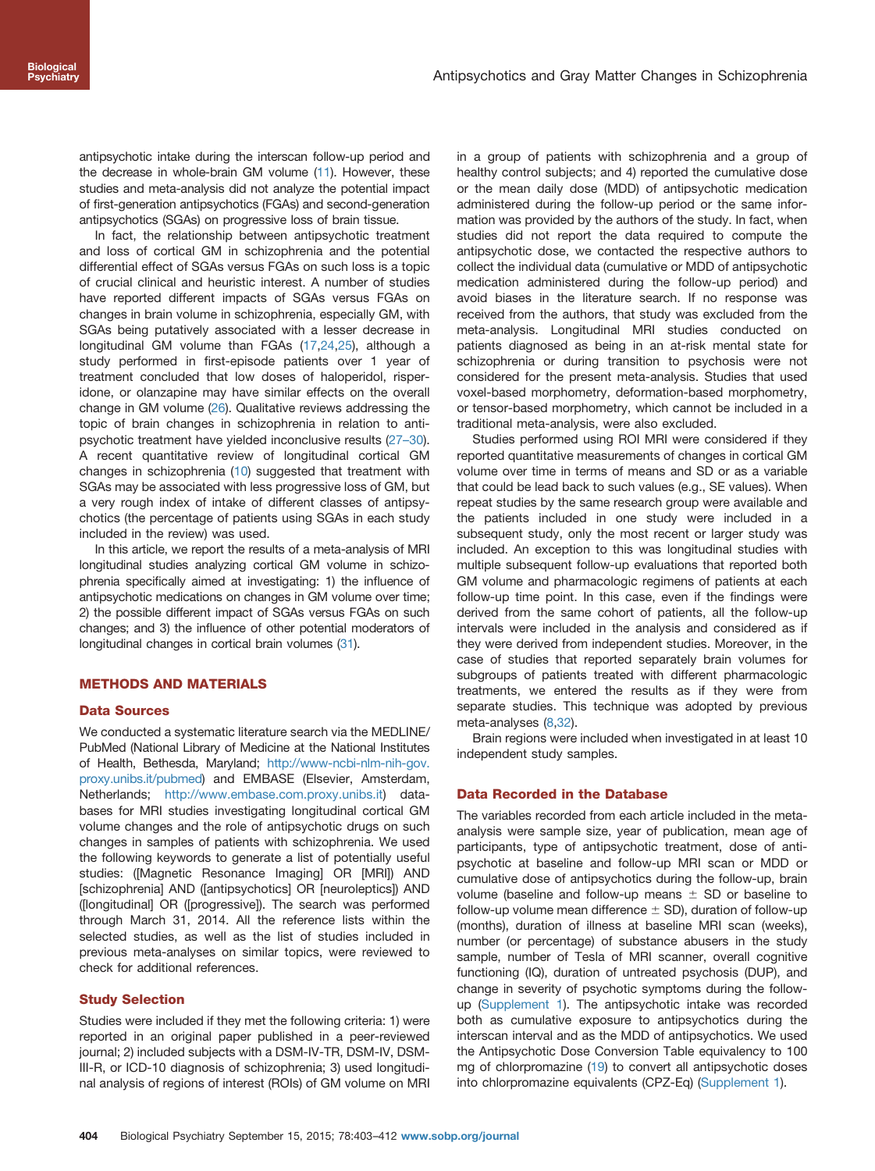antipsychotic intake during the interscan follow-up period and the decrease in whole-brain GM volume [\(11](#page-8-0)). However, these studies and meta-analysis did not analyze the potential impact of first-generation antipsychotics (FGAs) and second-generation antipsychotics (SGAs) on progressive loss of brain tissue.

In fact, the relationship between antipsychotic treatment and loss of cortical GM in schizophrenia and the potential differential effect of SGAs versus FGAs on such loss is a topic of crucial clinical and heuristic interest. A number of studies have reported different impacts of SGAs versus FGAs on changes in brain volume in schizophrenia, especially GM, with SGAs being putatively associated with a lesser decrease in longitudinal GM volume than FGAs ([17,24,25](#page-8-0)), although a study performed in first-episode patients over 1 year of treatment concluded that low doses of haloperidol, risperidone, or olanzapine may have similar effects on the overall change in GM volume [\(26\)](#page-8-0). Qualitative reviews addressing the topic of brain changes in schizophrenia in relation to antipsychotic treatment have yielded inconclusive results [\(27](#page-8-0)–30). A recent quantitative review of longitudinal cortical GM changes in schizophrenia [\(10\)](#page-8-0) suggested that treatment with SGAs may be associated with less progressive loss of GM, but a very rough index of intake of different classes of antipsychotics (the percentage of patients using SGAs in each study included in the review) was used.

In this article, we report the results of a meta-analysis of MRI longitudinal studies analyzing cortical GM volume in schizophrenia specifically aimed at investigating: 1) the influence of antipsychotic medications on changes in GM volume over time; 2) the possible different impact of SGAs versus FGAs on such changes; and 3) the influence of other potential moderators of longitudinal changes in cortical brain volumes ([31\)](#page-9-0).

# METHODS AND MATERIALS

#### Data Sources

We conducted a systematic literature search via the MEDLINE/ PubMed (National Library of Medicine at the National Institutes of Health, Bethesda, Maryland; [http://www-ncbi-nlm-nih-gov.](http://www-ncbi-nlm-nih-gov.proxy.unibs.it/pubmed) [proxy.unibs.it/pubmed](http://www-ncbi-nlm-nih-gov.proxy.unibs.it/pubmed)) and EMBASE (Elsevier, Amsterdam, Netherlands; <http://www.embase.com.proxy.unibs.it>) databases for MRI studies investigating longitudinal cortical GM volume changes and the role of antipsychotic drugs on such changes in samples of patients with schizophrenia. We used the following keywords to generate a list of potentially useful studies: ([Magnetic Resonance Imaging] OR [MRI]) AND [schizophrenia] AND ([antipsychotics] OR [neuroleptics]) AND ([longitudinal] OR ([progressive]). The search was performed through March 31, 2014. All the reference lists within the selected studies, as well as the list of studies included in previous meta-analyses on similar topics, were reviewed to check for additional references.

# Study Selection

Studies were included if they met the following criteria: 1) were reported in an original paper published in a peer-reviewed journal; 2) included subjects with a DSM-IV-TR, DSM-IV, DSM-III-R, or ICD-10 diagnosis of schizophrenia; 3) used longitudinal analysis of regions of interest (ROIs) of GM volume on MRI

in a group of patients with schizophrenia and a group of healthy control subjects; and 4) reported the cumulative dose or the mean daily dose (MDD) of antipsychotic medication administered during the follow-up period or the same information was provided by the authors of the study. In fact, when studies did not report the data required to compute the antipsychotic dose, we contacted the respective authors to collect the individual data (cumulative or MDD of antipsychotic medication administered during the follow-up period) and avoid biases in the literature search. If no response was received from the authors, that study was excluded from the meta-analysis. Longitudinal MRI studies conducted on patients diagnosed as being in an at-risk mental state for schizophrenia or during transition to psychosis were not considered for the present meta-analysis. Studies that used voxel-based morphometry, deformation-based morphometry, or tensor-based morphometry, which cannot be included in a traditional meta-analysis, were also excluded.

Studies performed using ROI MRI were considered if they reported quantitative measurements of changes in cortical GM volume over time in terms of means and SD or as a variable that could be lead back to such values (e.g., SE values). When repeat studies by the same research group were available and the patients included in one study were included in a subsequent study, only the most recent or larger study was included. An exception to this was longitudinal studies with multiple subsequent follow-up evaluations that reported both GM volume and pharmacologic regimens of patients at each follow-up time point. In this case, even if the findings were derived from the same cohort of patients, all the follow-up intervals were included in the analysis and considered as if they were derived from independent studies. Moreover, in the case of studies that reported separately brain volumes for subgroups of patients treated with different pharmacologic treatments, we entered the results as if they were from separate studies. This technique was adopted by previous meta-analyses ([8](#page-8-0),[32\)](#page-9-0).

Brain regions were included when investigated in at least 10 independent study samples.

# Data Recorded in the Database

The variables recorded from each article included in the metaanalysis were sample size, year of publication, mean age of participants, type of antipsychotic treatment, dose of antipsychotic at baseline and follow-up MRI scan or MDD or cumulative dose of antipsychotics during the follow-up, brain volume (baseline and follow-up means  $\pm$  SD or baseline to follow-up volume mean difference  $\pm$  SD), duration of follow-up (months), duration of illness at baseline MRI scan (weeks), number (or percentage) of substance abusers in the study sample, number of Tesla of MRI scanner, overall cognitive functioning (IQ), duration of untreated psychosis (DUP), and change in severity of psychotic symptoms during the followup ([Supplement 1\)](#page-8-0). The antipsychotic intake was recorded both as cumulative exposure to antipsychotics during the interscan interval and as the MDD of antipsychotics. We used the Antipsychotic Dose Conversion Table equivalency to 100 mg of chlorpromazine ([19](#page-8-0)) to convert all antipsychotic doses into chlorpromazine equivalents (CPZ-Eq) ([Supplement 1\)](#page-8-0).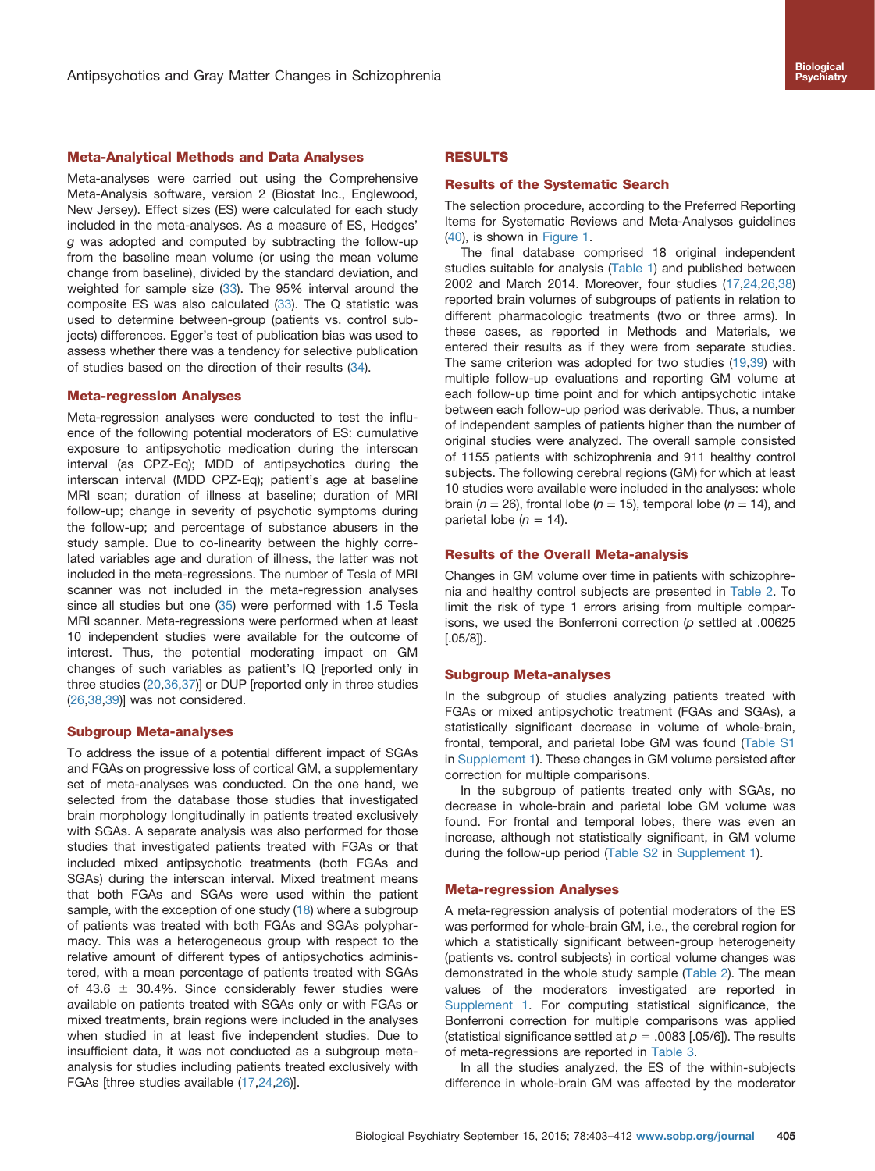#### Meta-Analytical Methods and Data Analyses

Meta-analyses were carried out using the Comprehensive Meta-Analysis software, version 2 (Biostat Inc., Englewood, New Jersey). Effect sizes (ES) were calculated for each study included in the meta-analyses. As a measure of ES, Hedges' g was adopted and computed by subtracting the follow-up from the baseline mean volume (or using the mean volume change from baseline), divided by the standard deviation, and weighted for sample size [\(33](#page-9-0)). The 95% interval around the composite ES was also calculated ([33](#page-9-0)). The Q statistic was used to determine between-group (patients vs. control subjects) differences. Egger's test of publication bias was used to assess whether there was a tendency for selective publication of studies based on the direction of their results [\(34\)](#page-9-0).

#### Meta-regression Analyses

Meta-regression analyses were conducted to test the influence of the following potential moderators of ES: cumulative exposure to antipsychotic medication during the interscan interval (as CPZ-Eq); MDD of antipsychotics during the interscan interval (MDD CPZ-Eq); patient's age at baseline MRI scan; duration of illness at baseline; duration of MRI follow-up; change in severity of psychotic symptoms during the follow-up; and percentage of substance abusers in the study sample. Due to co-linearity between the highly correlated variables age and duration of illness, the latter was not included in the meta-regressions. The number of Tesla of MRI scanner was not included in the meta-regression analyses since all studies but one [\(35\)](#page-9-0) were performed with 1.5 Tesla MRI scanner. Meta-regressions were performed when at least 10 independent studies were available for the outcome of interest. Thus, the potential moderating impact on GM changes of such variables as patient's IQ [reported only in three studies [\(20,](#page-8-0)[36](#page-9-0),[37\)](#page-9-0)] or DUP [reported only in three studies [\(26,](#page-8-0)[38,39\)](#page-9-0)] was not considered.

#### Subgroup Meta-analyses

To address the issue of a potential different impact of SGAs and FGAs on progressive loss of cortical GM, a supplementary set of meta-analyses was conducted. On the one hand, we selected from the database those studies that investigated brain morphology longitudinally in patients treated exclusively with SGAs. A separate analysis was also performed for those studies that investigated patients treated with FGAs or that included mixed antipsychotic treatments (both FGAs and SGAs) during the interscan interval. Mixed treatment means that both FGAs and SGAs were used within the patient sample, with the exception of one study [\(18\)](#page-8-0) where a subgroup of patients was treated with both FGAs and SGAs polypharmacy. This was a heterogeneous group with respect to the relative amount of different types of antipsychotics administered, with a mean percentage of patients treated with SGAs of 43.6  $\pm$  30.4%. Since considerably fewer studies were available on patients treated with SGAs only or with FGAs or mixed treatments, brain regions were included in the analyses when studied in at least five independent studies. Due to insufficient data, it was not conducted as a subgroup metaanalysis for studies including patients treated exclusively with FGAs [three studies available [\(17,24](#page-8-0),[26](#page-8-0))].

# RESULTS

#### Results of the Systematic Search

The selection procedure, according to the Preferred Reporting Items for Systematic Reviews and Meta-Analyses guidelines ([40](#page-9-0)), is shown in [Figure 1](#page-3-0).

The final database comprised 18 original independent studies suitable for analysis ([Table 1](#page-4-0)) and published between 2002 and March 2014. Moreover, four studies [\(17,24](#page-8-0),[26](#page-8-0)[,38\)](#page-9-0) reported brain volumes of subgroups of patients in relation to different pharmacologic treatments (two or three arms). In these cases, as reported in Methods and Materials, we entered their results as if they were from separate studies. The same criterion was adopted for two studies ([19](#page-8-0),[39\)](#page-9-0) with multiple follow-up evaluations and reporting GM volume at each follow-up time point and for which antipsychotic intake between each follow-up period was derivable. Thus, a number of independent samples of patients higher than the number of original studies were analyzed. The overall sample consisted of 1155 patients with schizophrenia and 911 healthy control subjects. The following cerebral regions (GM) for which at least 10 studies were available were included in the analyses: whole brain ( $n = 26$ ), frontal lobe ( $n = 15$ ), temporal lobe ( $n = 14$ ), and parietal lobe ( $n = 14$ ).

#### Results of the Overall Meta-analysis

Changes in GM volume over time in patients with schizophrenia and healthy control subjects are presented in [Table 2.](#page-5-0) To limit the risk of type 1 errors arising from multiple comparisons, we used the Bonferroni correction (p settled at .00625 [.05/8]).

# Subgroup Meta-analyses

In the subgroup of studies analyzing patients treated with FGAs or mixed antipsychotic treatment (FGAs and SGAs), a statistically significant decrease in volume of whole-brain, frontal, temporal, and parietal lobe GM was found ([Table S1](#page-8-0) in [Supplement 1\)](#page-8-0). These changes in GM volume persisted after correction for multiple comparisons.

In the subgroup of patients treated only with SGAs, no decrease in whole-brain and parietal lobe GM volume was found. For frontal and temporal lobes, there was even an increase, although not statistically significant, in GM volume during the follow-up period [\(Table S2](#page-8-0) in [Supplement 1\)](#page-8-0).

#### Meta-regression Analyses

A meta-regression analysis of potential moderators of the ES was performed for whole-brain GM, i.e., the cerebral region for which a statistically significant between-group heterogeneity (patients vs. control subjects) in cortical volume changes was demonstrated in the whole study sample [\(Table 2\)](#page-5-0). The mean values of the moderators investigated are reported in Supplement 1. For computing statistical significance, the Bonferroni correction for multiple comparisons was applied (statistical significance settled at  $p = .0083$  [.05/6]). The results of meta-regressions are reported in [Table 3](#page-5-0).

In all the studies analyzed, the ES of the within-subjects difference in whole-brain GM was affected by the moderator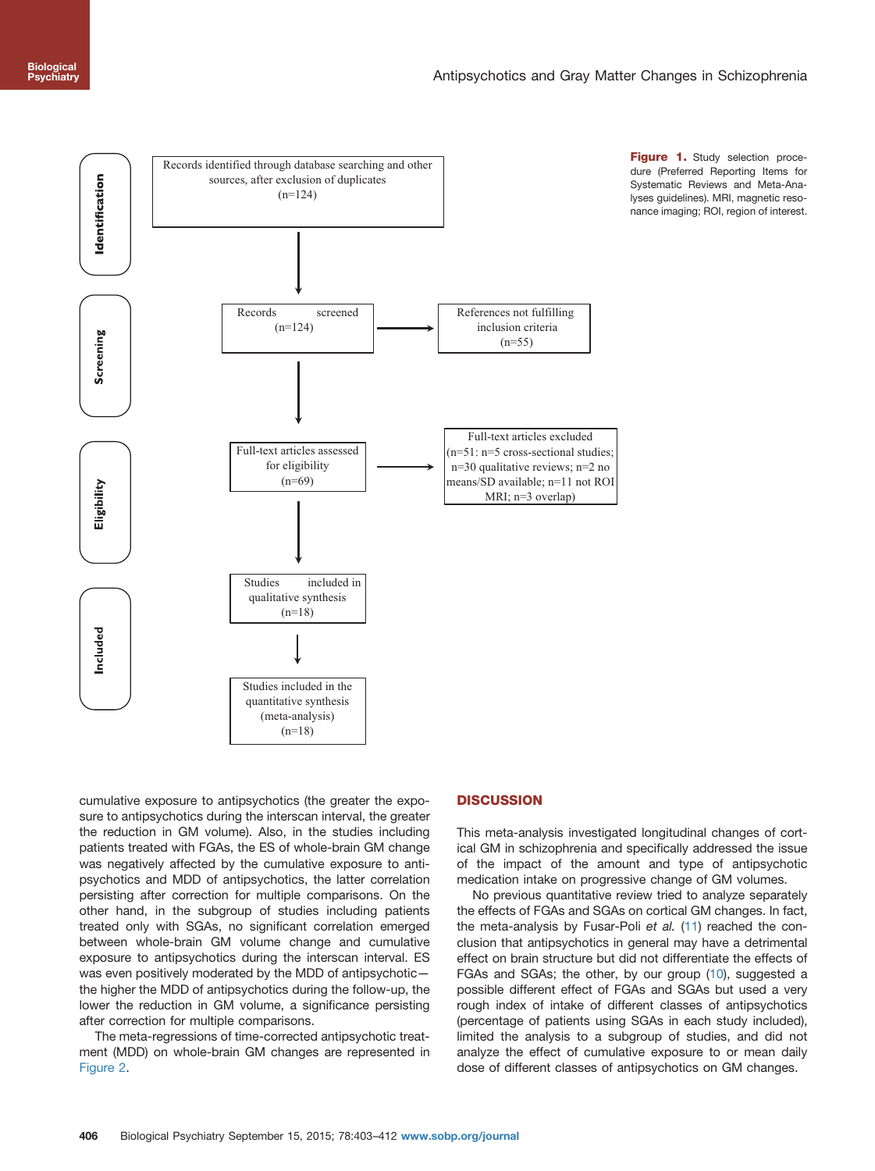<span id="page-3-0"></span>



cumulative exposure to antipsychotics (the greater the exposure to antipsychotics during the interscan interval, the greater the reduction in GM volume). Also, in the studies including patients treated with FGAs, the ES of whole-brain GM change was negatively affected by the cumulative exposure to antipsychotics and MDD of antipsychotics, the latter correlation persisting after correction for multiple comparisons. On the other hand, in the subgroup of studies including patients treated only with SGAs, no significant correlation emerged between whole-brain GM volume change and cumulative exposure to antipsychotics during the interscan interval. ES was even positively moderated by the MDD of antipsychotic the higher the MDD of antipsychotics during the follow-up, the lower the reduction in GM volume, a significance persisting after correction for multiple comparisons.

The meta-regressions of time-corrected antipsychotic treatment (MDD) on whole-brain GM changes are represented in [Figure 2](#page-6-0).

#### **DISCUSSION**

This meta-analysis investigated longitudinal changes of cortical GM in schizophrenia and specifically addressed the issue of the impact of the amount and type of antipsychotic medication intake on progressive change of GM volumes.

No previous quantitative review tried to analyze separately the effects of FGAs and SGAs on cortical GM changes. In fact, the meta-analysis by Fusar-Poli et al. ([11\)](#page-8-0) reached the conclusion that antipsychotics in general may have a detrimental effect on brain structure but did not differentiate the effects of FGAs and SGAs; the other, by our group [\(10\)](#page-8-0), suggested a possible different effect of FGAs and SGAs but used a very rough index of intake of different classes of antipsychotics (percentage of patients using SGAs in each study included), limited the analysis to a subgroup of studies, and did not analyze the effect of cumulative exposure to or mean daily dose of different classes of antipsychotics on GM changes.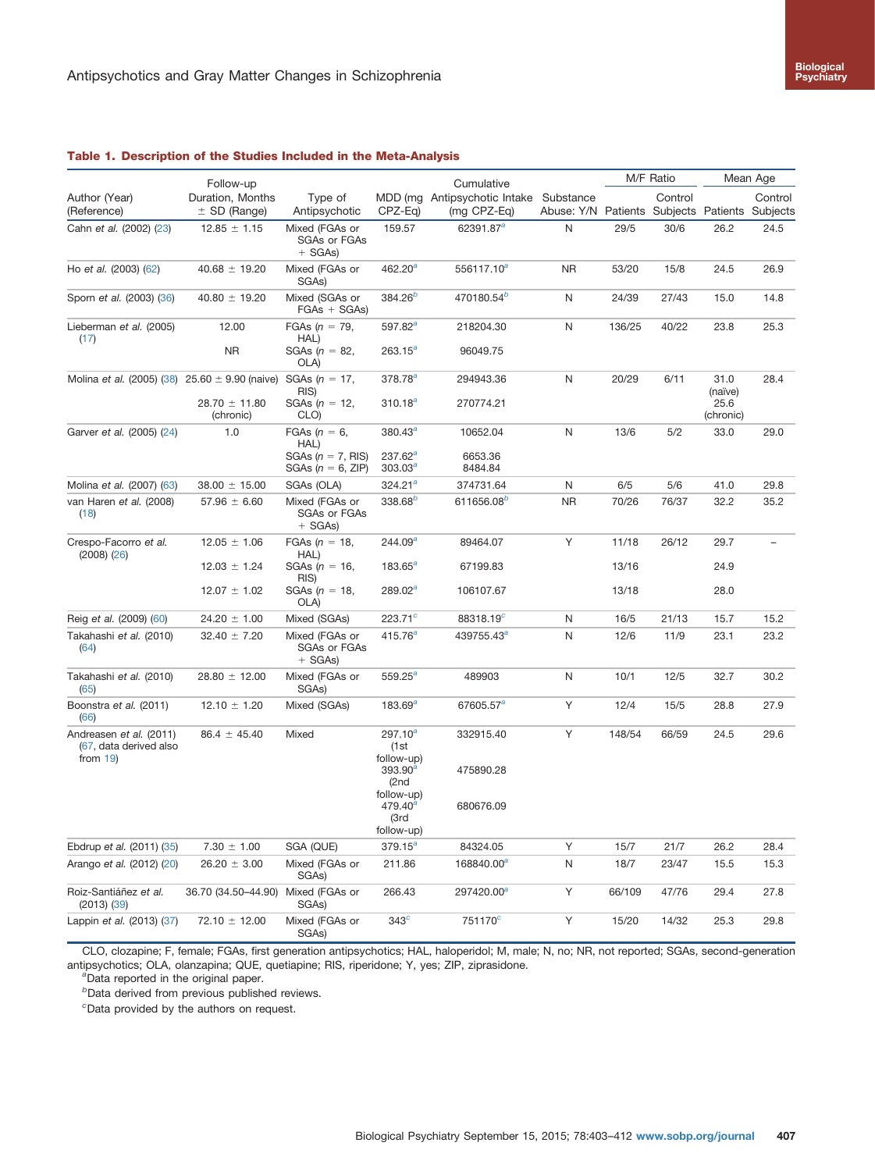#### <span id="page-4-0"></span>Table 1. Description of the Studies Included in the Meta-Analysis

|                                                                  | Follow-up                            |                                                                        |                                                                      | Cumulative                                            |                                                | M/F Ratio      |         | Mean Age                |         |
|------------------------------------------------------------------|--------------------------------------|------------------------------------------------------------------------|----------------------------------------------------------------------|-------------------------------------------------------|------------------------------------------------|----------------|---------|-------------------------|---------|
| Author (Year)<br>(Reference)                                     | Duration, Months<br>$\pm$ SD (Range) | Type of<br>Antipsychotic                                               | $CPZ-Eq$                                                             | MDD (mg Antipsychotic Intake Substance<br>(mg CPZ-Eq) | Abuse: Y/N Patients Subjects Patients Subjects |                | Control |                         | Control |
| Cahn et al. (2002) (23)                                          | $12.85 \pm 1.15$                     | Mixed (FGAs or<br>SGAs or FGAs<br>$+$ SGAs)                            | 159.57                                                               | 62391.87 <sup>a</sup>                                 | N                                              | 29/5           | 30/6    | 26.2                    | 24.5    |
| Ho et al. (2003) (62)                                            | $40.68 \pm 19.20$                    | Mixed (FGAs or<br>SGA <sub>s</sub> )                                   | $462.20^a$                                                           | $556117.10^4$                                         | NR.                                            | 53/20          | 15/8    | 24.5                    | 26.9    |
| Sporn et al. (2003) (36)                                         | $40.80 \pm 19.20$                    | Mixed (SGAs or<br>$FGAs + SGAs$                                        | 384.26 <sup>b</sup>                                                  | 470180.54 <sup>b</sup>                                | N                                              | 24/39          | 27/43   | 15.0                    | 14.8    |
| Lieberman et al. (2005)<br>(17)                                  | 12.00<br><b>NR</b>                   | FGAs ( $n = 79$ ,<br>HAL)<br>SGAs $(n = 82,$                           | $597.82^a$<br>$263.15^a$                                             | 218204.30<br>96049.75                                 | N                                              | 136/25         | 40/22   | 23.8                    | 25.3    |
| Molina et al. (2005) (38) 25.60 $\pm$ 9.90 (naive)               | $28.70 \pm 11.80$                    | OLA)<br>SGAs $(n = 17,$<br>RIS)<br>SGAs $(n = 12,$                     | $378.78^{a}$<br>$310.18^{a}$                                         | 294943.36<br>270774.21                                | N                                              | 20/29          | 6/11    | 31.0<br>(naïve)<br>25.6 | 28.4    |
|                                                                  | (chronic)                            | CLO)                                                                   |                                                                      |                                                       |                                                |                |         | (chronic)               |         |
| Garver et al. (2005) (24)                                        | 1.0                                  | FGAs $(n = 6,$<br>HAL)<br>SGAs $(n = 7, RIS)$<br>SGAs ( $n = 6$ , ZIP) | $380.43^a$<br>$237.62^a$<br>$303.03^{\circ}$                         | 10652.04<br>6653.36<br>8484.84                        | N                                              | 13/6           | 5/2     | 33.0                    | 29.0    |
| Molina et al. (2007) (63)                                        | $38.00 \pm 15.00$                    | SGAs (OLA)                                                             | $324.21^a$                                                           | 374731.64                                             | N                                              | 6/5            | 5/6     | 41.0                    | 29.8    |
| van Haren et al. (2008)<br>(18)                                  | 57.96 $\pm$ 6.60                     | Mixed (FGAs or<br>SGAs or FGAs<br>$+$ SGAs)                            | 338.68 <sup>b</sup>                                                  | 611656.08 <sup>b</sup>                                | <b>NR</b>                                      | 70/26          | 76/37   | 32.2                    | 35.2    |
| Crespo-Facorro et al.<br>$(2008)$ $(26)$                         | $12.05 \pm 1.06$                     | FGAs ( $n = 18$ ,<br>HAL)                                              | 244.09 <sup>a</sup>                                                  | 89464.07                                              | Υ                                              | 11/18          | 26/12   | 29.7                    |         |
|                                                                  | $12.03 \pm 1.24$<br>$12.07 \pm 1.02$ | SGAs ( $n = 16$ ,<br>RIS)<br>SGAs ( $n = 18$ ,                         | $183.65^{\circ}$<br>$289.02^a$                                       | 67199.83<br>106107.67                                 |                                                | 13/16<br>13/18 |         | 24.9<br>28.0            |         |
|                                                                  |                                      | OLA)                                                                   |                                                                      |                                                       |                                                |                |         |                         |         |
| Reig et al. (2009) (60)                                          | $24.20 \pm 1.00$                     | Mixed (SGAs)                                                           | $223.71^{\circ}$                                                     | 88318.19 <sup>c</sup>                                 | N                                              | 16/5           | 21/13   | 15.7                    | 15.2    |
| Takahashi et al. (2010)<br>(64)                                  | $32.40 \pm 7.20$                     | Mixed (FGAs or<br>SGAs or FGAs<br>$+$ SGAs)                            | $415.76^{\circ}$                                                     | 439755.43 <sup>a</sup>                                | N                                              | 12/6           | 11/9    | 23.1                    | 23.2    |
| Takahashi et al. (2010)<br>(65)                                  | $28.80 \pm 12.00$                    | Mixed (FGAs or<br>SGA <sub>s</sub> )                                   | $559.25^{\circ}$                                                     | 489903                                                | N                                              | 10/1           | 12/5    | 32.7                    | 30.2    |
| Boonstra et al. (2011)<br>(66)                                   | $12.10 \pm 1.20$                     | Mixed (SGAs)                                                           | $183.69^{\circ}$                                                     | 67605.57 <sup>a</sup>                                 | Y                                              | 12/4           | 15/5    | 28.8                    | 27.9    |
| Andreasen et al. (2011)<br>(67, data derived also<br>from $19$ ) | $86.4 \pm 45.40$                     | Mixed                                                                  | $297.10^{a}$<br>(1st<br>follow-up)                                   | 332915.40                                             | Y                                              | 148/54         | 66/59   | 24.5                    | 29.6    |
|                                                                  |                                      |                                                                        | $393.90^a$<br>(2nd<br>follow-up)<br>$479.40^a$<br>(3rd<br>follow-up) | 475890.28<br>680676.09                                |                                                |                |         |                         |         |
| Ebdrup et al. (2011) (35)                                        | $7.30 \pm 1.00$                      | SGA (QUE)                                                              | $379.15^a$                                                           | 84324.05                                              | Υ                                              | 15/7           | 21/7    | 26.2                    | 28.4    |
| Arango <i>et al.</i> (2012) (20)                                 | $26.20 \pm 3.00$                     | Mixed (FGAs or<br>SGA <sub>s</sub> )                                   | 211.86                                                               | 168840.00 <sup>a</sup>                                | N                                              | 18/7           | 23/47   | 15.5                    | 15.3    |
| Roiz-Santiáñez et al.<br>$(2013)$ $(39)$                         | 36.70 (34.50-44.90)                  | Mixed (FGAs or<br>SGAs)                                                | 266.43                                                               | 297420.00 <sup>a</sup>                                | Y                                              | 66/109         | 47/76   | 29.4                    | 27.8    |
| Lappin et al. (2013) (37)                                        | $72.10 \pm 12.00$                    | Mixed (FGAs or<br>SGA <sub>s</sub> )                                   | 343 <sup>c</sup>                                                     | 751170 <sup>c</sup>                                   | Y                                              | 15/20          | 14/32   | 25.3                    | 29.8    |

CLO, clozapine; F, female; FGAs, first generation antipsychotics; HAL, haloperidol; M, male; N, no; NR, not reported; SGAs, second-generation antipsychotics; OLA, olanzapina; QUE, quetiapine; RIS, riperidone; Y, yes; ZIP, ziprasidone.

a Data reported in the original paper.

 $^{\circ}$ Data derived from previous published reviews.

 $\mathrm{^c}\mathsf{Data}$  provided by the authors on request.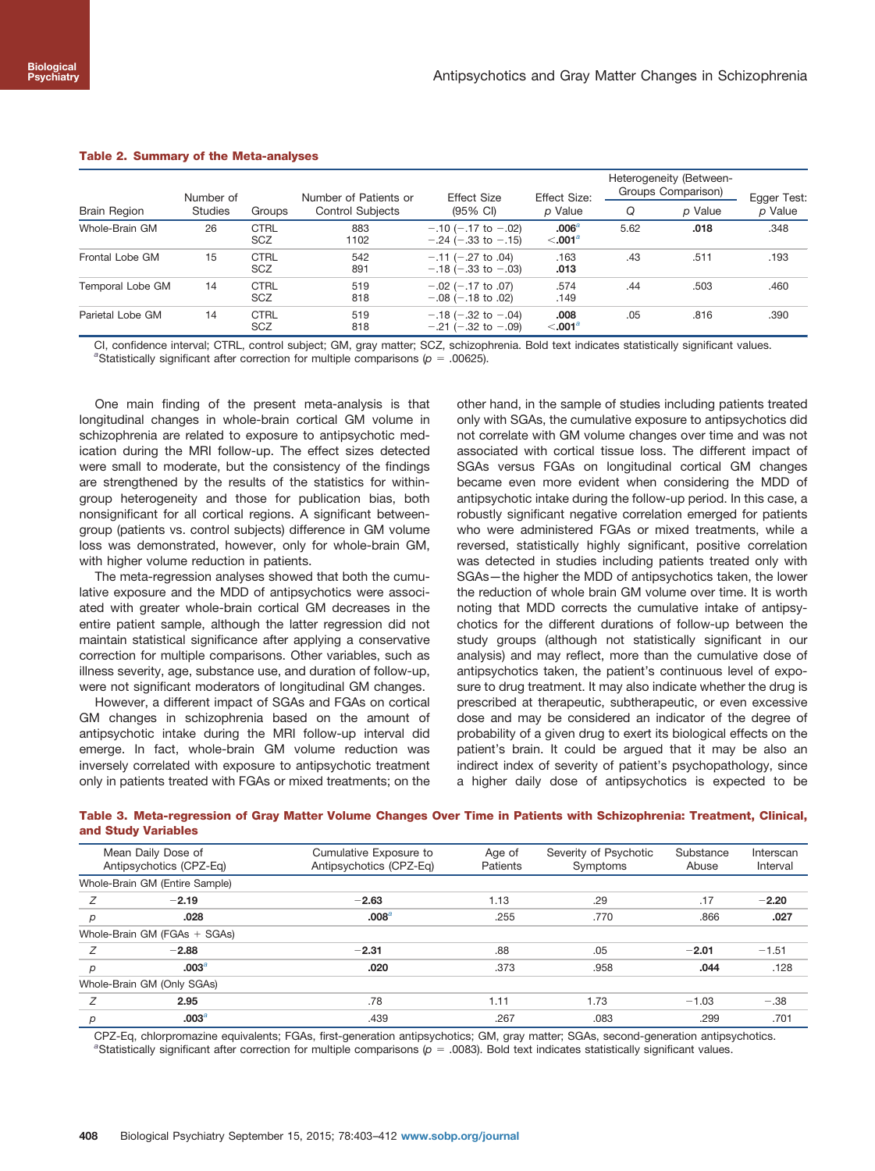|                  | Number of      |             | Number of Patients or   | <b>Effect Size</b>                                            | <b>Effect Size:</b>                | Heterogeneity (Between-<br>Groups Comparison) |         | Egger Test: |
|------------------|----------------|-------------|-------------------------|---------------------------------------------------------------|------------------------------------|-----------------------------------------------|---------|-------------|
| Brain Region     | <b>Studies</b> | Groups      | <b>Control Subjects</b> | $(95% \text{ Cl})$                                            | p Value                            | Q                                             | p Value | p Value     |
| Whole-Brain GM   | 26             | CTRL<br>SCZ | 883<br>1102             | $-.10$ ( $-.17$ to $-.02$ )<br>$-.24 (-.33 \text{ to } -.15)$ | .006 <sup>a</sup><br>$<$ .001 $^a$ | 5.62                                          | .018    | .348        |
| Frontal Lobe GM  | 15             | CTRL<br>SCZ | 542<br>891              | $-.11$ (-.27 to .04)<br>$-.18$ (-.33 to -.03)                 | .163<br>.013                       | .43                                           | .511    | .193        |
| Temporal Lobe GM | 14             | CTRL<br>SCZ | 519<br>818              | $-.02$ (-.17 to .07)<br>$-.08$ (-.18 to .02)                  | .574<br>.149                       | .44                                           | .503    | .460        |
| Parietal Lobe GM | 14             | CTRL<br>SCZ | 519<br>818              | $-.18$ (-.32 to -.04)<br>$-.21$ (-.32 to -.09)                | .008<br>$<$ .001 $^a$              | .05                                           | .816    | .390        |

#### <span id="page-5-0"></span>Table 2. Summary of the Meta-analyses

CI, confidence interval; CTRL, control subject; GM, gray matter; SCZ, schizophrenia. Bold text indicates statistically significant values. <sup>a</sup>Statistically significant after correction for multiple comparisons ( $p = .00625$ ).

One main finding of the present meta-analysis is that longitudinal changes in whole-brain cortical GM volume in schizophrenia are related to exposure to antipsychotic medication during the MRI follow-up. The effect sizes detected were small to moderate, but the consistency of the findings are strengthened by the results of the statistics for withingroup heterogeneity and those for publication bias, both nonsignificant for all cortical regions. A significant betweengroup (patients vs. control subjects) difference in GM volume loss was demonstrated, however, only for whole-brain GM, with higher volume reduction in patients.

The meta-regression analyses showed that both the cumulative exposure and the MDD of antipsychotics were associated with greater whole-brain cortical GM decreases in the entire patient sample, although the latter regression did not maintain statistical significance after applying a conservative correction for multiple comparisons. Other variables, such as illness severity, age, substance use, and duration of follow-up, were not significant moderators of longitudinal GM changes.

However, a different impact of SGAs and FGAs on cortical GM changes in schizophrenia based on the amount of antipsychotic intake during the MRI follow-up interval did emerge. In fact, whole-brain GM volume reduction was inversely correlated with exposure to antipsychotic treatment only in patients treated with FGAs or mixed treatments; on the

other hand, in the sample of studies including patients treated only with SGAs, the cumulative exposure to antipsychotics did not correlate with GM volume changes over time and was not associated with cortical tissue loss. The different impact of SGAs versus FGAs on longitudinal cortical GM changes became even more evident when considering the MDD of antipsychotic intake during the follow-up period. In this case, a robustly significant negative correlation emerged for patients who were administered FGAs or mixed treatments, while a reversed, statistically highly significant, positive correlation was detected in studies including patients treated only with SGAs—the higher the MDD of antipsychotics taken, the lower the reduction of whole brain GM volume over time. It is worth noting that MDD corrects the cumulative intake of antipsychotics for the different durations of follow-up between the study groups (although not statistically significant in our analysis) and may reflect, more than the cumulative dose of antipsychotics taken, the patient's continuous level of exposure to drug treatment. It may also indicate whether the drug is prescribed at therapeutic, subtherapeutic, or even excessive dose and may be considered an indicator of the degree of probability of a given drug to exert its biological effects on the patient's brain. It could be argued that it may be also an indirect index of severity of patient's psychopathology, since a higher daily dose of antipsychotics is expected to be

| Mean Daily Dose of<br>Antipsychotics (CPZ-Eq) |                                | Cumulative Exposure to  | Age of   | Severity of Psychotic | Substance | Interscan |
|-----------------------------------------------|--------------------------------|-------------------------|----------|-----------------------|-----------|-----------|
|                                               |                                | Antipsychotics (CPZ-Eq) | Patients | Symptoms              | Abuse     | Interval  |
|                                               | Whole-Brain GM (Entire Sample) |                         |          |                       |           |           |
|                                               | $-2.19$                        | $-2.63$                 | 1.13     | .29                   | .17       | $-2.20$   |
| p                                             | .028                           | .008 <sup>a</sup>       | .255     | .770<br>.866          |           | .027      |
|                                               | Whole-Brain GM (FGAs + SGAs)   |                         |          |                       |           |           |
|                                               | $-2.88$                        | $-2.31$                 | .88      | .05                   |           | $-1.51$   |
| p                                             | .003 <sup>a</sup>              | .020                    | .373     | .958                  | .044      | .128      |
|                                               | Whole-Brain GM (Only SGAs)     |                         |          |                       |           |           |
| Z                                             | 2.95                           | .78                     | 1.11     | 1.73<br>$-1.03$       |           | $-.38$    |
| р                                             | .003 <sup>a</sup>              | .439                    | .267     | .083                  | .299      | .701      |
|                                               |                                |                         |          |                       |           |           |

# Table 3. Meta-regression of Gray Matter Volume Changes Over Time in Patients with Schizophrenia: Treatment, Clinical, and Study Variables

CPZ-Eq, chlorpromazine equivalents; FGAs, first-generation antipsychotics; GM, gray matter; SGAs, second-generation antipsychotics. <sup>a</sup>Statistically significant after correction for multiple comparisons ( $p = .0083$ ). Bold text indicates statistically significant values.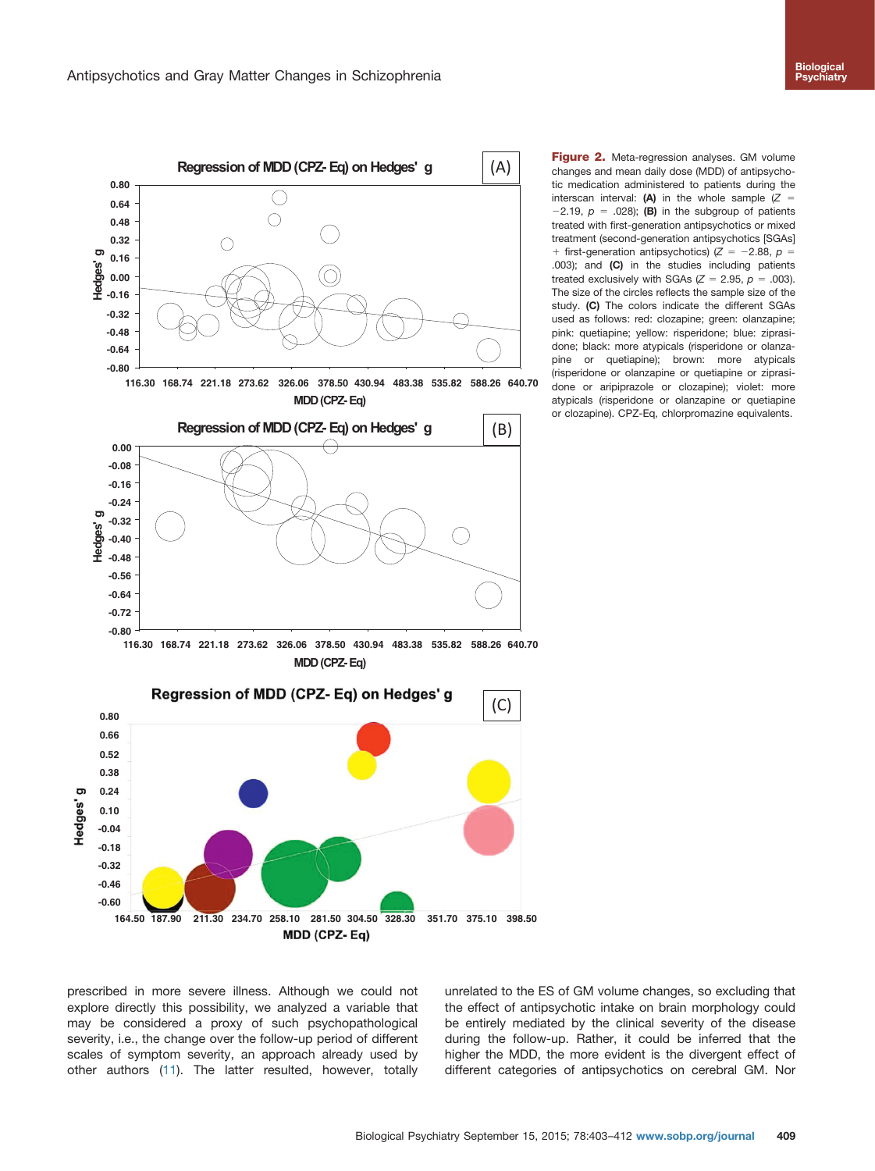<span id="page-6-0"></span>

Figure 2. Meta-regression analyses. GM volume changes and mean daily dose (MDD) of antipsychotic medication administered to patients during the interscan interval: (A) in the whole sample  $(Z =$  $-2.19$ ,  $p = .028$ ); (B) in the subgroup of patients treated with first-generation antipsychotics or mixed treatment (second-generation antipsychotics [SGAs] + first-generation antipsychotics) ( $Z = -2.88$ ,  $p =$ .003); and (C) in the studies including patients treated exclusively with SGAs ( $Z = 2.95$ ,  $p = .003$ ). The size of the circles reflects the sample size of the study. (C) The colors indicate the different SGAs used as follows: red: clozapine; green: olanzapine; pink: quetiapine; yellow: risperidone; blue: ziprasidone; black: more atypicals (risperidone or olanzapine or quetiapine); brown: more atypicals (risperidone or olanzapine or quetiapine or ziprasidone or aripiprazole or clozapine); violet: more atypicals (risperidone or olanzapine or quetiapine or clozapine). CPZ-Eq, chlorpromazine equivalents.

prescribed in more severe illness. Although we could not explore directly this possibility, we analyzed a variable that may be considered a proxy of such psychopathological severity, i.e., the change over the follow-up period of different scales of symptom severity, an approach already used by other authors ([11](#page-8-0)). The latter resulted, however, totally

unrelated to the ES of GM volume changes, so excluding that the effect of antipsychotic intake on brain morphology could be entirely mediated by the clinical severity of the disease during the follow-up. Rather, it could be inferred that the higher the MDD, the more evident is the divergent effect of different categories of antipsychotics on cerebral GM. Nor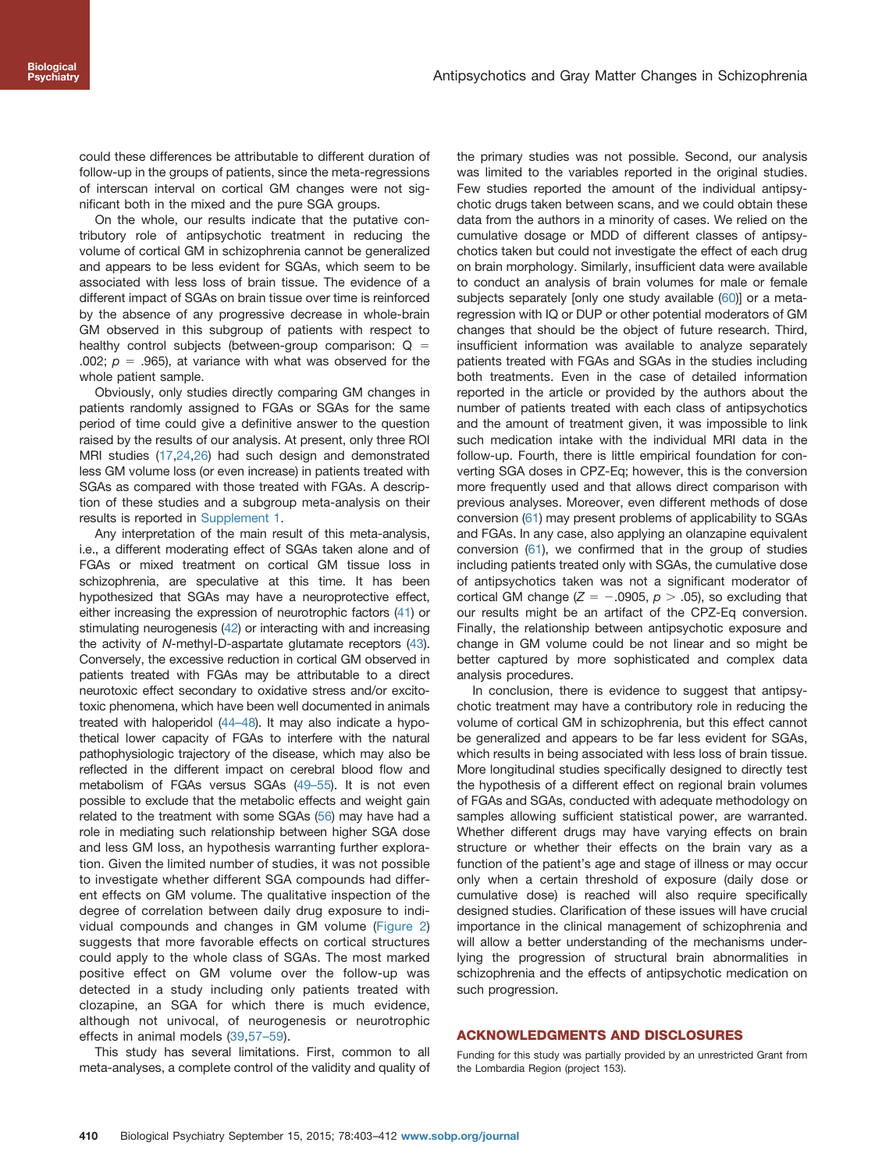could these differences be attributable to different duration of follow-up in the groups of patients, since the meta-regressions of interscan interval on cortical GM changes were not significant both in the mixed and the pure SGA groups.

On the whole, our results indicate that the putative contributory role of antipsychotic treatment in reducing the volume of cortical GM in schizophrenia cannot be generalized and appears to be less evident for SGAs, which seem to be associated with less loss of brain tissue. The evidence of a different impact of SGAs on brain tissue over time is reinforced by the absence of any progressive decrease in whole-brain GM observed in this subgroup of patients with respect to healthy control subjects (between-group comparison:  $Q =$ .002;  $p = .965$ ), at variance with what was observed for the whole patient sample.

Obviously, only studies directly comparing GM changes in patients randomly assigned to FGAs or SGAs for the same period of time could give a definitive answer to the question raised by the results of our analysis. At present, only three ROI MRI studies [\(17,24](#page-8-0),[26](#page-8-0)) had such design and demonstrated less GM volume loss (or even increase) in patients treated with SGAs as compared with those treated with FGAs. A description of these studies and a subgroup meta-analysis on their results is reported in Supplement 1.

Any interpretation of the main result of this meta-analysis, i.e., a different moderating effect of SGAs taken alone and of FGAs or mixed treatment on cortical GM tissue loss in schizophrenia, are speculative at this time. It has been hypothesized that SGAs may have a neuroprotective effect, either increasing the expression of neurotrophic factors ([41\)](#page-9-0) or stimulating neurogenesis [\(42](#page-9-0)) or interacting with and increasing the activity of N-methyl-D-aspartate glutamate receptors [\(43](#page-9-0)). Conversely, the excessive reduction in cortical GM observed in patients treated with FGAs may be attributable to a direct neurotoxic effect secondary to oxidative stress and/or excitotoxic phenomena, which have been well documented in animals treated with haloperidol (44–[48\)](#page-9-0). It may also indicate a hypothetical lower capacity of FGAs to interfere with the natural pathophysiologic trajectory of the disease, which may also be reflected in the different impact on cerebral blood flow and metabolism of FGAs versus SGAs (49–[55](#page-9-0)). It is not even possible to exclude that the metabolic effects and weight gain related to the treatment with some SGAs [\(56\)](#page-9-0) may have had a role in mediating such relationship between higher SGA dose and less GM loss, an hypothesis warranting further exploration. Given the limited number of studies, it was not possible to investigate whether different SGA compounds had different effects on GM volume. The qualitative inspection of the degree of correlation between daily drug exposure to individual compounds and changes in GM volume ([Figure 2](#page-6-0)) suggests that more favorable effects on cortical structures could apply to the whole class of SGAs. The most marked positive effect on GM volume over the follow-up was detected in a study including only patients treated with clozapine, an SGA for which there is much evidence, although not univocal, of neurogenesis or neurotrophic effects in animal models ([39,](#page-9-0)57–[59\)](#page-9-0).

This study has several limitations. First, common to all meta-analyses, a complete control of the validity and quality of the primary studies was not possible. Second, our analysis was limited to the variables reported in the original studies. Few studies reported the amount of the individual antipsychotic drugs taken between scans, and we could obtain these data from the authors in a minority of cases. We relied on the cumulative dosage or MDD of different classes of antipsychotics taken but could not investigate the effect of each drug on brain morphology. Similarly, insufficient data were available to conduct an analysis of brain volumes for male or female subjects separately [only one study available ([60\)](#page-9-0)] or a metaregression with IQ or DUP or other potential moderators of GM changes that should be the object of future research. Third, insufficient information was available to analyze separately patients treated with FGAs and SGAs in the studies including both treatments. Even in the case of detailed information reported in the article or provided by the authors about the number of patients treated with each class of antipsychotics and the amount of treatment given, it was impossible to link such medication intake with the individual MRI data in the follow-up. Fourth, there is little empirical foundation for converting SGA doses in CPZ-Eq; however, this is the conversion more frequently used and that allows direct comparison with previous analyses. Moreover, even different methods of dose conversion [\(61\)](#page-9-0) may present problems of applicability to SGAs and FGAs. In any case, also applying an olanzapine equivalent conversion [\(61\)](#page-9-0), we confirmed that in the group of studies including patients treated only with SGAs, the cumulative dose of antipsychotics taken was not a significant moderator of cortical GM change  $(Z = -.0905, p > .05)$ , so excluding that our results might be an artifact of the CPZ-Eq conversion. Finally, the relationship between antipsychotic exposure and change in GM volume could be not linear and so might be better captured by more sophisticated and complex data analysis procedures.

In conclusion, there is evidence to suggest that antipsychotic treatment may have a contributory role in reducing the volume of cortical GM in schizophrenia, but this effect cannot be generalized and appears to be far less evident for SGAs, which results in being associated with less loss of brain tissue. More longitudinal studies specifically designed to directly test the hypothesis of a different effect on regional brain volumes of FGAs and SGAs, conducted with adequate methodology on samples allowing sufficient statistical power, are warranted. Whether different drugs may have varying effects on brain structure or whether their effects on the brain vary as a function of the patient's age and stage of illness or may occur only when a certain threshold of exposure (daily dose or cumulative dose) is reached will also require specifically designed studies. Clarification of these issues will have crucial importance in the clinical management of schizophrenia and will allow a better understanding of the mechanisms underlying the progression of structural brain abnormalities in schizophrenia and the effects of antipsychotic medication on such progression.

# ACKNOWLEDGMENTS AND DISCLOSURES

Funding for this study was partially provided by an unrestricted Grant from the Lombardia Region (project 153).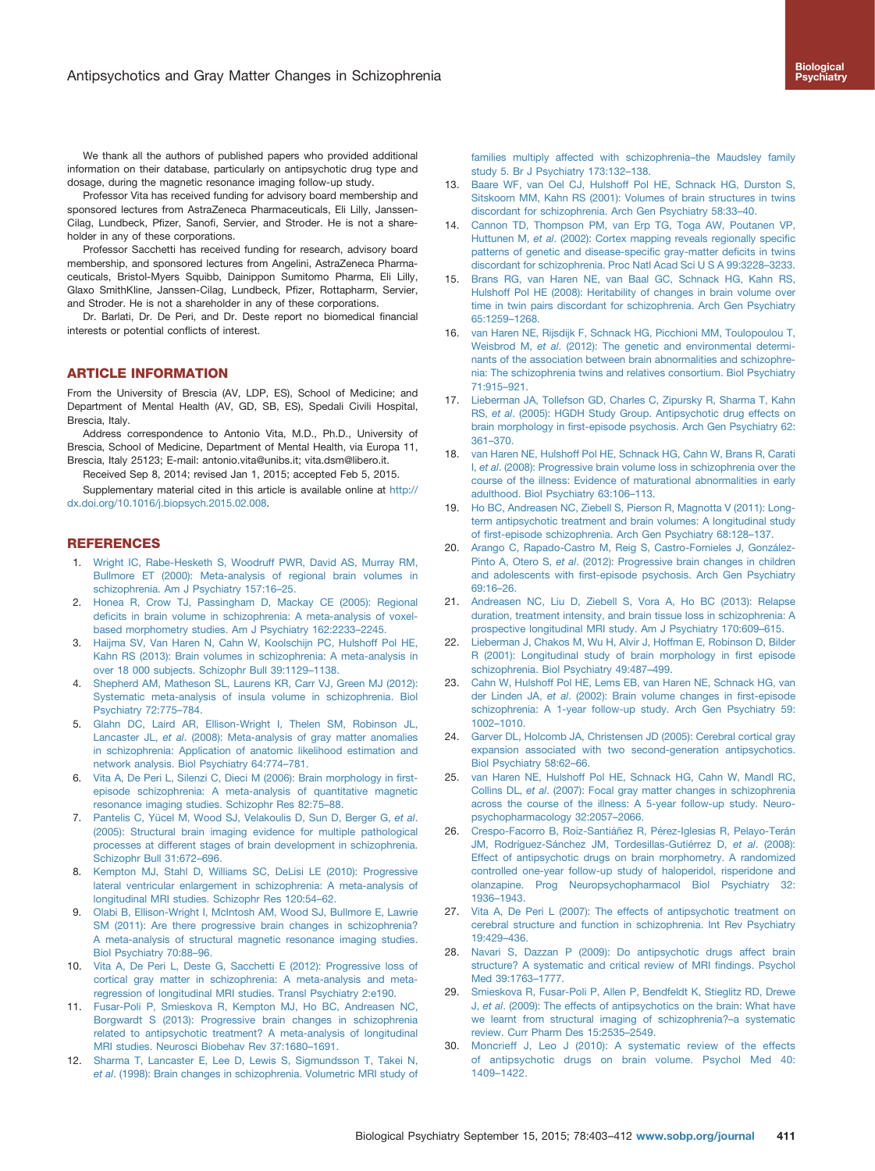<span id="page-8-0"></span>We thank all the authors of published papers who provided additional information on their database, particularly on antipsychotic drug type and dosage, during the magnetic resonance imaging follow-up study.

Professor Vita has received funding for advisory board membership and sponsored lectures from AstraZeneca Pharmaceuticals, Eli Lilly, Janssen-Cilag, Lundbeck, Pfizer, Sanofi, Servier, and Stroder. He is not a shareholder in any of these corporations.

Professor Sacchetti has received funding for research, advisory board membership, and sponsored lectures from Angelini, AstraZeneca Pharmaceuticals, Bristol-Myers Squibb, Dainippon Sumitomo Pharma, Eli Lilly, Glaxo SmithKline, Janssen-Cilag, Lundbeck, Pfizer, Rottapharm, Servier, and Stroder. He is not a shareholder in any of these corporations.

Dr. Barlati, Dr. De Peri, and Dr. Deste report no biomedical financial interests or potential conflicts of interest.

# ARTICLE INFORMATION

From the University of Brescia (AV, LDP, ES), School of Medicine; and Department of Mental Health (AV, GD, SB, ES), Spedali Civili Hospital, Brescia, Italy.

Address correspondence to Antonio Vita, M.D., Ph.D., University of Brescia, School of Medicine, Department of Mental Health, via Europa 11, Brescia, Italy 25123; E-mail: antonio.vita@unibs.it; vita.dsm@libero.it.

Received Sep 8, 2014; revised Jan 1, 2015; accepted Feb 5, 2015.

Supplementary material cited in this article is available online at http:// dx.doi.org/10.1016/j.biopsych.2015.02.008.

# **REFERENCES**

- 1. [Wright IC, Rabe-Hesketh S, Woodruff PWR, David AS, Murray RM,](http://refhub.elsevier.com/S0006-3223(15)00099-2/sbref1) [Bullmore ET \(2000\): Meta-analysis of regional brain volumes in](http://refhub.elsevier.com/S0006-3223(15)00099-2/sbref1) [schizophrenia. Am J Psychiatry 157:16](http://refhub.elsevier.com/S0006-3223(15)00099-2/sbref1)–25.
- 2. [Honea R, Crow TJ, Passingham D, Mackay CE \(2005\): Regional](http://refhub.elsevier.com/S0006-3223(15)00099-2/sbref2) defi[cits in brain volume in schizophrenia: A meta-analysis of voxel](http://refhub.elsevier.com/S0006-3223(15)00099-2/sbref2)[based morphometry studies. Am J Psychiatry 162:2233](http://refhub.elsevier.com/S0006-3223(15)00099-2/sbref2)–2245.
- 3. [Haijma SV, Van Haren N, Cahn W, Koolschijn PC, Hulshoff Pol HE,](http://refhub.elsevier.com/S0006-3223(15)00099-2/sbref3) [Kahn RS \(2013\): Brain volumes in schizophrenia: A meta-analysis in](http://refhub.elsevier.com/S0006-3223(15)00099-2/sbref3) [over 18 000 subjects. Schizophr Bull 39:1129](http://refhub.elsevier.com/S0006-3223(15)00099-2/sbref3)–1138.
- 4. [Shepherd AM, Matheson SL, Laurens KR, Carr VJ, Green MJ \(2012\):](http://refhub.elsevier.com/S0006-3223(15)00099-2/sbref4) [Systematic meta-analysis of insula volume in schizophrenia. Biol](http://refhub.elsevier.com/S0006-3223(15)00099-2/sbref4) [Psychiatry 72:775](http://refhub.elsevier.com/S0006-3223(15)00099-2/sbref4)–784.
- 5. [Glahn DC, Laird AR, Ellison-Wright I, Thelen SM, Robinson JL,](http://refhub.elsevier.com/S0006-3223(15)00099-2/sbref5) Lancaster JL, et al[. \(2008\): Meta-analysis of gray matter anomalies](http://refhub.elsevier.com/S0006-3223(15)00099-2/sbref5) [in schizophrenia: Application of anatomic likelihood estimation and](http://refhub.elsevier.com/S0006-3223(15)00099-2/sbref5) [network analysis. Biol Psychiatry 64:774](http://refhub.elsevier.com/S0006-3223(15)00099-2/sbref5)–781.
- 6. [Vita A, De Peri L, Silenzi C, Dieci M \(2006\): Brain morphology in](http://refhub.elsevier.com/S0006-3223(15)00099-2/sbref6) first[episode schizophrenia: A meta-analysis of quantitative magnetic](http://refhub.elsevier.com/S0006-3223(15)00099-2/sbref6) [resonance imaging studies. Schizophr Res 82:75](http://refhub.elsevier.com/S0006-3223(15)00099-2/sbref6)–88.
- 7. [Pantelis C, Yücel M, Wood SJ, Velakoulis D, Sun D, Berger G,](http://refhub.elsevier.com/S0006-3223(15)00099-2/sbref7) et al. [\(2005\): Structural brain imaging evidence for multiple pathological](http://refhub.elsevier.com/S0006-3223(15)00099-2/sbref7) [processes at different stages of brain development in schizophrenia.](http://refhub.elsevier.com/S0006-3223(15)00099-2/sbref7) [Schizophr Bull 31:672](http://refhub.elsevier.com/S0006-3223(15)00099-2/sbref7)–696.
- 8. [Kempton MJ, Stahl D, Williams SC, DeLisi LE \(2010\): Progressive](http://refhub.elsevier.com/S0006-3223(15)00099-2/sbref8) [lateral ventricular enlargement in schizophrenia: A meta-analysis of](http://refhub.elsevier.com/S0006-3223(15)00099-2/sbref8) [longitudinal MRI studies. Schizophr Res 120:54](http://refhub.elsevier.com/S0006-3223(15)00099-2/sbref8)–62.
- 9. [Olabi B, Ellison-Wright I, McIntosh AM, Wood SJ, Bullmore E, Lawrie](http://refhub.elsevier.com/S0006-3223(15)00099-2/sbref9) [SM \(2011\): Are there progressive brain changes in schizophrenia?](http://refhub.elsevier.com/S0006-3223(15)00099-2/sbref9) [A meta-analysis of structural magnetic resonance imaging studies.](http://refhub.elsevier.com/S0006-3223(15)00099-2/sbref9) [Biol Psychiatry 70:88](http://refhub.elsevier.com/S0006-3223(15)00099-2/sbref9)–96.
- 10. [Vita A, De Peri L, Deste G, Sacchetti E \(2012\): Progressive loss of](http://refhub.elsevier.com/S0006-3223(15)00099-2/sbref10) [cortical gray matter in schizophrenia: A meta-analysis and meta](http://refhub.elsevier.com/S0006-3223(15)00099-2/sbref10)[regression of longitudinal MRI studies. Transl Psychiatry 2:e190.](http://refhub.elsevier.com/S0006-3223(15)00099-2/sbref10)
- [Fusar-Poli P, Smieskova R, Kempton MJ, Ho BC, Andreasen NC,](http://refhub.elsevier.com/S0006-3223(15)00099-2/sbref11) [Borgwardt S \(2013\): Progressive brain changes in schizophrenia](http://refhub.elsevier.com/S0006-3223(15)00099-2/sbref11) [related to antipsychotic treatment? A meta-analysis of longitudinal](http://refhub.elsevier.com/S0006-3223(15)00099-2/sbref11) [MRI studies. Neurosci Biobehav Rev 37:1680](http://refhub.elsevier.com/S0006-3223(15)00099-2/sbref11)–1691.
- 12. [Sharma T, Lancaster E, Lee D, Lewis S, Sigmundsson T, Takei N,](http://refhub.elsevier.com/S0006-3223(15)00099-2/sbref12) et al[. \(1998\): Brain changes in schizophrenia. Volumetric MRI study of](http://refhub.elsevier.com/S0006-3223(15)00099-2/sbref12)

[families multiply affected with schizophrenia](http://refhub.elsevier.com/S0006-3223(15)00099-2/sbref12)–the Maudsley family [study 5. Br J Psychiatry 173:132](http://refhub.elsevier.com/S0006-3223(15)00099-2/sbref12)–138.

- 13. [Baare WF, van Oel CJ, Hulshoff Pol HE, Schnack HG, Durston S,](http://refhub.elsevier.com/S0006-3223(15)00099-2/sbref13) [Sitskoorn MM, Kahn RS \(2001\): Volumes of brain structures in twins](http://refhub.elsevier.com/S0006-3223(15)00099-2/sbref13) [discordant for schizophrenia. Arch Gen Psychiatry 58:33](http://refhub.elsevier.com/S0006-3223(15)00099-2/sbref13)–40.
- 14. [Cannon TD, Thompson PM, van Erp TG, Toga AW, Poutanen VP,](http://refhub.elsevier.com/S0006-3223(15)00099-2/sbref14) Huttunen M, et al[. \(2002\): Cortex mapping reveals regionally speci](http://refhub.elsevier.com/S0006-3223(15)00099-2/sbref14)fi<sup>c</sup> [patterns of genetic and disease-speci](http://refhub.elsevier.com/S0006-3223(15)00099-2/sbref14)fic gray-matter deficits in twins [discordant for schizophrenia. Proc Natl Acad Sci U S A 99:3228](http://refhub.elsevier.com/S0006-3223(15)00099-2/sbref14)–3233.
- 15. [Brans RG, van Haren NE, van Baal GC, Schnack HG, Kahn RS,](http://refhub.elsevier.com/S0006-3223(15)00099-2/sbref15) [Hulshoff Pol HE \(2008\): Heritability of changes in brain volume over](http://refhub.elsevier.com/S0006-3223(15)00099-2/sbref15) [time in twin pairs discordant for schizophrenia. Arch Gen Psychiatry](http://refhub.elsevier.com/S0006-3223(15)00099-2/sbref15) [65:1259](http://refhub.elsevier.com/S0006-3223(15)00099-2/sbref15)–1268.
- 16. [van Haren NE, Rijsdijk F, Schnack HG, Picchioni MM, Toulopoulou T,](http://refhub.elsevier.com/S0006-3223(15)00099-2/sbref16) Weisbrod M, et al[. \(2012\): The genetic and environmental determi](http://refhub.elsevier.com/S0006-3223(15)00099-2/sbref16)[nants of the association between brain abnormalities and schizophre](http://refhub.elsevier.com/S0006-3223(15)00099-2/sbref16)[nia: The schizophrenia twins and relatives consortium. Biol Psychiatry](http://refhub.elsevier.com/S0006-3223(15)00099-2/sbref16) [71:915](http://refhub.elsevier.com/S0006-3223(15)00099-2/sbref16)–921.
- 17. [Lieberman JA, Tollefson GD, Charles C, Zipursky R, Sharma T, Kahn](http://refhub.elsevier.com/S0006-3223(15)00099-2/sbref17) RS, et al[. \(2005\): HGDH Study Group. Antipsychotic drug effects on](http://refhub.elsevier.com/S0006-3223(15)00099-2/sbref17) brain morphology in fi[rst-episode psychosis. Arch Gen Psychiatry 62:](http://refhub.elsevier.com/S0006-3223(15)00099-2/sbref17) 361–[370.](http://refhub.elsevier.com/S0006-3223(15)00099-2/sbref17)
- 18. [van Haren NE, Hulshoff Pol HE, Schnack HG, Cahn W, Brans R, Carati](http://refhub.elsevier.com/S0006-3223(15)00099-2/sbref18) I, et al[. \(2008\): Progressive brain volume loss in schizophrenia over the](http://refhub.elsevier.com/S0006-3223(15)00099-2/sbref18) [course of the illness: Evidence of maturational abnormalities in early](http://refhub.elsevier.com/S0006-3223(15)00099-2/sbref18) [adulthood. Biol Psychiatry 63:106](http://refhub.elsevier.com/S0006-3223(15)00099-2/sbref18)–113.
- 19. [Ho BC, Andreasen NC, Ziebell S, Pierson R, Magnotta V \(2011\): Long](http://refhub.elsevier.com/S0006-3223(15)00099-2/sbref19)[term antipsychotic treatment and brain volumes: A longitudinal study](http://refhub.elsevier.com/S0006-3223(15)00099-2/sbref19) of fi[rst-episode schizophrenia. Arch Gen Psychiatry 68:128](http://refhub.elsevier.com/S0006-3223(15)00099-2/sbref19)–137.
- 20. [Arango C, Rapado-Castro M, Reig S, Castro-Fornieles J, González-](http://refhub.elsevier.com/S0006-3223(15)00099-2/sbref20)Pinto A, Otero S, et al[. \(2012\): Progressive brain changes in children](http://refhub.elsevier.com/S0006-3223(15)00099-2/sbref20) and adolescents with fi[rst-episode psychosis. Arch Gen Psychiatry](http://refhub.elsevier.com/S0006-3223(15)00099-2/sbref20) [69:16](http://refhub.elsevier.com/S0006-3223(15)00099-2/sbref20)–26.
- 21. [Andreasen NC, Liu D, Ziebell S, Vora A, Ho BC \(2013\): Relapse](http://refhub.elsevier.com/S0006-3223(15)00099-2/sbref21) [duration, treatment intensity, and brain tissue loss in schizophrenia: A](http://refhub.elsevier.com/S0006-3223(15)00099-2/sbref21) [prospective longitudinal MRI study. Am J Psychiatry 170:609](http://refhub.elsevier.com/S0006-3223(15)00099-2/sbref21)–615.
- 22. [Lieberman J, Chakos M, Wu H, Alvir J, Hoffman E, Robinson D, Bilder](http://refhub.elsevier.com/S0006-3223(15)00099-2/sbref22) [R \(2001\): Longitudinal study of brain morphology in](http://refhub.elsevier.com/S0006-3223(15)00099-2/sbref22) first episode [schizophrenia. Biol Psychiatry 49:487](http://refhub.elsevier.com/S0006-3223(15)00099-2/sbref22)–499.
- 23. [Cahn W, Hulshoff Pol HE, Lems EB, van Haren NE, Schnack HG, van](http://refhub.elsevier.com/S0006-3223(15)00099-2/sbref23) der Linden JA, et al[. \(2002\): Brain volume changes in](http://refhub.elsevier.com/S0006-3223(15)00099-2/sbref23) first-episode [schizophrenia: A 1-year follow-up study. Arch Gen Psychiatry 59:](http://refhub.elsevier.com/S0006-3223(15)00099-2/sbref23) 1002–[1010.](http://refhub.elsevier.com/S0006-3223(15)00099-2/sbref23)
- 24. [Garver DL, Holcomb JA, Christensen JD \(2005\): Cerebral cortical gray](http://refhub.elsevier.com/S0006-3223(15)00099-2/sbref24) [expansion associated with two second-generation antipsychotics.](http://refhub.elsevier.com/S0006-3223(15)00099-2/sbref24) [Biol Psychiatry 58:62](http://refhub.elsevier.com/S0006-3223(15)00099-2/sbref24)–66.
- 25. [van Haren NE, Hulshoff Pol HE, Schnack HG, Cahn W, Mandl RC,](http://refhub.elsevier.com/S0006-3223(15)00099-2/sbref25) Collins DL, et al[. \(2007\): Focal gray matter changes in schizophrenia](http://refhub.elsevier.com/S0006-3223(15)00099-2/sbref25) [across the course of the illness: A 5-year follow-up study. Neuro](http://refhub.elsevier.com/S0006-3223(15)00099-2/sbref25)[psychopharmacology 32:2057](http://refhub.elsevier.com/S0006-3223(15)00099-2/sbref25)–2066.
- 26. [Crespo-Facorro B, Roiz-Santiáñez R, Pérez-Iglesias R, Pelayo-Terán](http://refhub.elsevier.com/S0006-3223(15)00099-2/sbref26) [JM, Rodríguez-Sánchez JM, Tordesillas-Gutiérrez D,](http://refhub.elsevier.com/S0006-3223(15)00099-2/sbref26) et al. (2008): [Effect of antipsychotic drugs on brain morphometry. A randomized](http://refhub.elsevier.com/S0006-3223(15)00099-2/sbref26) [controlled one-year follow-up study of haloperidol, risperidone and](http://refhub.elsevier.com/S0006-3223(15)00099-2/sbref26) [olanzapine. Prog Neuropsychopharmacol Biol Psychiatry 32:](http://refhub.elsevier.com/S0006-3223(15)00099-2/sbref26) 1936–[1943.](http://refhub.elsevier.com/S0006-3223(15)00099-2/sbref26)
- 27. [Vita A, De Peri L \(2007\): The effects of antipsychotic treatment on](http://refhub.elsevier.com/S0006-3223(15)00099-2/sbref27) [cerebral structure and function in schizophrenia. Int Rev Psychiatry](http://refhub.elsevier.com/S0006-3223(15)00099-2/sbref27) [19:429](http://refhub.elsevier.com/S0006-3223(15)00099-2/sbref27)–436.
- 28. [Navari S, Dazzan P \(2009\): Do antipsychotic drugs affect brain](http://refhub.elsevier.com/S0006-3223(15)00099-2/sbref28) [structure? A systematic and critical review of MRI](http://refhub.elsevier.com/S0006-3223(15)00099-2/sbref28) findings. Psychol [Med 39:1763](http://refhub.elsevier.com/S0006-3223(15)00099-2/sbref28)–1777.
- 29. [Smieskova R, Fusar-Poli P, Allen P, Bendfeldt K, Stieglitz RD, Drewe](http://refhub.elsevier.com/S0006-3223(15)00099-2/sbref29) J, et al[. \(2009\): The effects of antipsychotics on the brain: What have](http://refhub.elsevier.com/S0006-3223(15)00099-2/sbref29) [we learnt from structural imaging of schizophrenia?](http://refhub.elsevier.com/S0006-3223(15)00099-2/sbref29)–a systematic [review. Curr Pharm Des 15:2535](http://refhub.elsevier.com/S0006-3223(15)00099-2/sbref29)–2549.
- 30. [Moncrieff J, Leo J \(2010\): A systematic review of the effects](http://refhub.elsevier.com/S0006-3223(15)00099-2/sbref30) [of antipsychotic drugs on brain volume. Psychol Med 40:](http://refhub.elsevier.com/S0006-3223(15)00099-2/sbref30) 1409–[1422.](http://refhub.elsevier.com/S0006-3223(15)00099-2/sbref30)